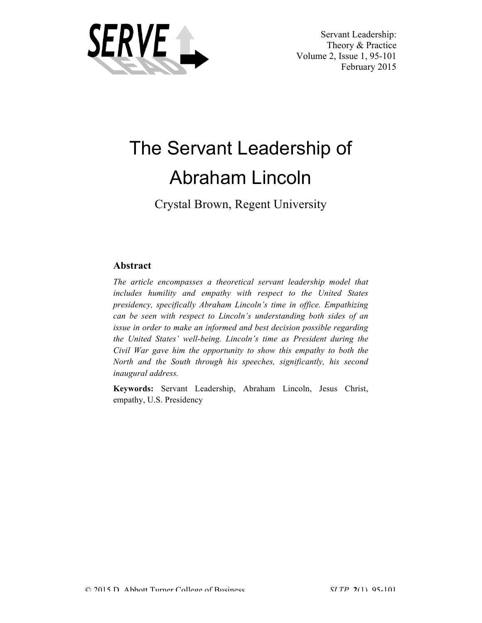

 Servant Leadership: Theory & Practice Volume 2, Issue 1, 95-101 February 2015

# The Servant Leadership of Abraham Lincoln

Crystal Brown, Regent University

# **Abstract**

*The article encompasses a theoretical servant leadership model that includes humility and empathy with respect to the United States presidency, specifically Abraham Lincoln's time in office. Empathizing can be seen with respect to Lincoln's understanding both sides of an issue in order to make an informed and best decision possible regarding the United States' well-being. Lincoln's time as President during the Civil War gave him the opportunity to show this empathy to both the North and the South through his speeches, significantly, his second inaugural address.*

**Keywords:** Servant Leadership, Abraham Lincoln, Jesus Christ, empathy, U.S. Presidency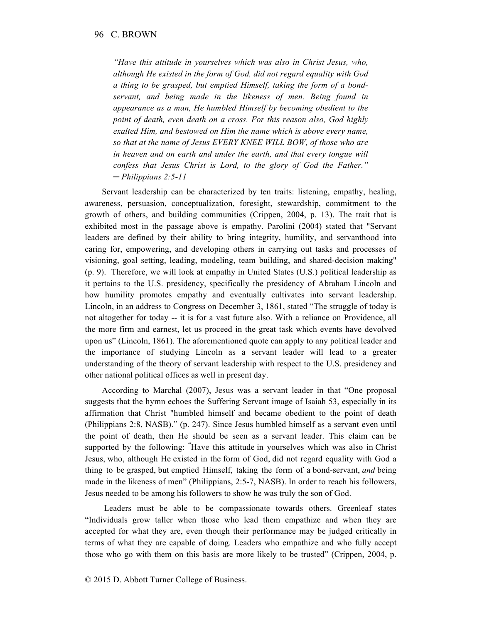*"Have this attitude in yourselves which was also in Christ Jesus, who, although He existed in the form of God, did not regard equality with God a thing to be grasped, but emptied Himself, taking the form of a bondservant, and being made in the likeness of men. Being found in appearance as a man, He humbled Himself by becoming obedient to the point of death, even death on a cross. For this reason also, God highly exalted Him, and bestowed on Him the name which is above every name, so that at the name of Jesus EVERY KNEE WILL BOW, of those who are in heaven and on earth and under the earth, and that every tongue will confess that Jesus Christ is Lord, to the glory of God the Father." ─ Philippians 2:5-11*

Servant leadership can be characterized by ten traits: listening, empathy, healing, awareness, persuasion, conceptualization, foresight, stewardship, commitment to the growth of others, and building communities (Crippen, 2004, p. 13). The trait that is exhibited most in the passage above is empathy. Parolini (2004) stated that "Servant leaders are defined by their ability to bring integrity, humility, and servanthood into caring for, empowering, and developing others in carrying out tasks and processes of visioning, goal setting, leading, modeling, team building, and shared-decision making" (p. 9). Therefore, we will look at empathy in United States (U.S.) political leadership as it pertains to the U.S. presidency, specifically the presidency of Abraham Lincoln and how humility promotes empathy and eventually cultivates into servant leadership. Lincoln, in an address to Congress on December 3, 1861, stated "The struggle of today is not altogether for today -- it is for a vast future also. With a reliance on Providence, all the more firm and earnest, let us proceed in the great task which events have devolved upon us" (Lincoln, 1861). The aforementioned quote can apply to any political leader and the importance of studying Lincoln as a servant leader will lead to a greater understanding of the theory of servant leadership with respect to the U.S. presidency and other national political offices as well in present day.

According to Marchal (2007), Jesus was a servant leader in that "One proposal suggests that the hymn echoes the Suffering Servant image of Isaiah 53, especially in its affirmation that Christ "humbled himself and became obedient to the point of death (Philippians 2:8, NASB)." (p. 247). Since Jesus humbled himself as a servant even until the point of death, then He should be seen as a servant leader. This claim can be supported by the following: **"** Have this attitude in yourselves which was also in Christ Jesus, who, although He existed in the form of God, did not regard equality with God a thing to be grasped, but emptied Himself, taking the form of a bond-servant, *and* being made in the likeness of men" (Philippians, 2:5-7, NASB). In order to reach his followers, Jesus needed to be among his followers to show he was truly the son of God.

Leaders must be able to be compassionate towards others. Greenleaf states "Individuals grow taller when those who lead them empathize and when they are accepted for what they are, even though their performance may be judged critically in terms of what they are capable of doing. Leaders who empathize and who fully accept those who go with them on this basis are more likely to be trusted" (Crippen, 2004, p.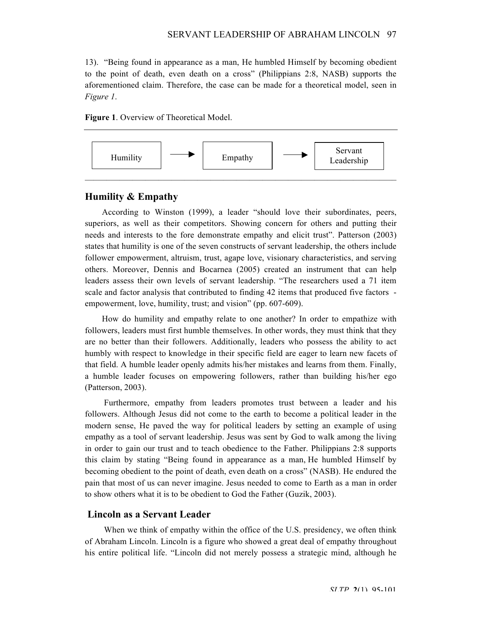13). "Being found in appearance as a man, He humbled Himself by becoming obedient to the point of death, even death on a cross" (Philippians 2:8, NASB) supports the aforementioned claim. Therefore, the case can be made for a theoretical model, seen in *Figure 1*.

**Figure 1**. Overview of Theoretical Model.



## **Humility & Empathy**

According to Winston (1999), a leader "should love their subordinates, peers, superiors, as well as their competitors. Showing concern for others and putting their needs and interests to the fore demonstrate empathy and elicit trust". Patterson (2003) states that humility is one of the seven constructs of servant leadership, the others include follower empowerment, altruism, trust, agape love, visionary characteristics, and serving others. Moreover, Dennis and Bocarnea (2005) created an instrument that can help leaders assess their own levels of servant leadership. "The researchers used a 71 item scale and factor analysis that contributed to finding 42 items that produced five factors empowerment, love, humility, trust; and vision" (pp. 607-609).

How do humility and empathy relate to one another? In order to empathize with followers, leaders must first humble themselves. In other words, they must think that they are no better than their followers. Additionally, leaders who possess the ability to act humbly with respect to knowledge in their specific field are eager to learn new facets of that field. A humble leader openly admits his/her mistakes and learns from them. Finally, a humble leader focuses on empowering followers, rather than building his/her ego (Patterson, 2003).

Furthermore, empathy from leaders promotes trust between a leader and his followers. Although Jesus did not come to the earth to become a political leader in the modern sense, He paved the way for political leaders by setting an example of using empathy as a tool of servant leadership. Jesus was sent by God to walk among the living in order to gain our trust and to teach obedience to the Father. Philippians 2:8 supports this claim by stating "Being found in appearance as a man, He humbled Himself by becoming obedient to the point of death, even death on a cross" (NASB). He endured the pain that most of us can never imagine. Jesus needed to come to Earth as a man in order to show others what it is to be obedient to God the Father (Guzik, 2003).

#### **Lincoln as a Servant Leader**

When we think of empathy within the office of the U.S. presidency, we often think of Abraham Lincoln. Lincoln is a figure who showed a great deal of empathy throughout his entire political life. "Lincoln did not merely possess a strategic mind, although he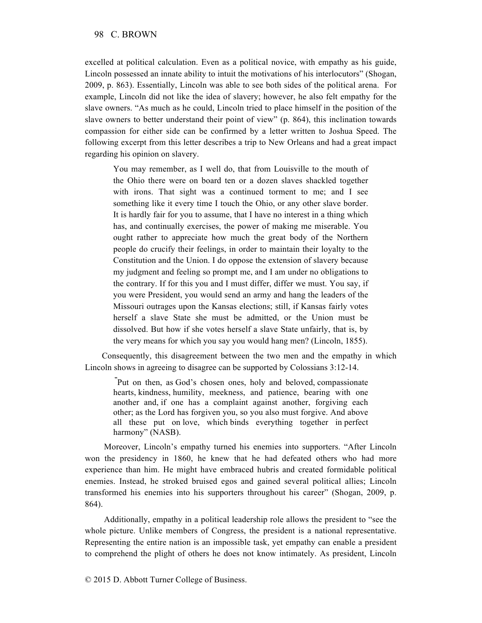excelled at political calculation. Even as a political novice, with empathy as his guide, Lincoln possessed an innate ability to intuit the motivations of his interlocutors" (Shogan, 2009, p. 863). Essentially, Lincoln was able to see both sides of the political arena. For example, Lincoln did not like the idea of slavery; however, he also felt empathy for the slave owners. "As much as he could, Lincoln tried to place himself in the position of the slave owners to better understand their point of view" (p. 864), this inclination towards compassion for either side can be confirmed by a letter written to Joshua Speed. The following excerpt from this letter describes a trip to New Orleans and had a great impact regarding his opinion on slavery.

You may remember, as I well do, that from Louisville to the mouth of the Ohio there were on board ten or a dozen slaves shackled together with irons. That sight was a continued torment to me; and I see something like it every time I touch the Ohio, or any other slave border. It is hardly fair for you to assume, that I have no interest in a thing which has, and continually exercises, the power of making me miserable. You ought rather to appreciate how much the great body of the Northern people do crucify their feelings, in order to maintain their loyalty to the Constitution and the Union. I do oppose the extension of slavery because my judgment and feeling so prompt me, and I am under no obligations to the contrary. If for this you and I must differ, differ we must. You say, if you were President, you would send an army and hang the leaders of the Missouri outrages upon the Kansas elections; still, if Kansas fairly votes herself a slave State she must be admitted, or the Union must be dissolved. But how if she votes herself a slave State unfairly, that is, by the very means for which you say you would hang men? (Lincoln, 1855).

Consequently, this disagreement between the two men and the empathy in which Lincoln shows in agreeing to disagree can be supported by Colossians 3:12-14.

**"** Put on then, as God's chosen ones, holy and beloved, compassionate hearts, kindness, humility, meekness, and patience, bearing with one another and, if one has a complaint against another, forgiving each other; as the Lord has forgiven you, so you also must forgive. And above all these put on love, which binds everything together in perfect harmony" (NASB).

Moreover, Lincoln's empathy turned his enemies into supporters. "After Lincoln won the presidency in 1860, he knew that he had defeated others who had more experience than him. He might have embraced hubris and created formidable political enemies. Instead, he stroked bruised egos and gained several political allies; Lincoln transformed his enemies into his supporters throughout his career" (Shogan, 2009, p. 864).

Additionally, empathy in a political leadership role allows the president to "see the whole picture. Unlike members of Congress, the president is a national representative. Representing the entire nation is an impossible task, yet empathy can enable a president to comprehend the plight of others he does not know intimately. As president, Lincoln

© 2015 D. Abbott Turner College of Business.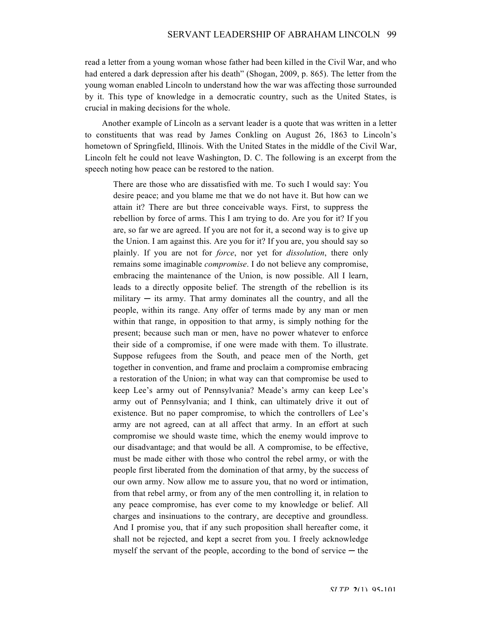read a letter from a young woman whose father had been killed in the Civil War, and who had entered a dark depression after his death" (Shogan, 2009, p. 865). The letter from the young woman enabled Lincoln to understand how the war was affecting those surrounded by it. This type of knowledge in a democratic country, such as the United States, is crucial in making decisions for the whole.

Another example of Lincoln as a servant leader is a quote that was written in a letter to constituents that was read by James Conkling on August 26, 1863 to Lincoln's hometown of Springfield, Illinois. With the United States in the middle of the Civil War, Lincoln felt he could not leave Washington, D. C. The following is an excerpt from the speech noting how peace can be restored to the nation.

There are those who are dissatisfied with me. To such I would say: You desire peace; and you blame me that we do not have it. But how can we attain it? There are but three conceivable ways. First, to suppress the rebellion by force of arms. This I am trying to do. Are you for it? If you are, so far we are agreed. If you are not for it, a second way is to give up the Union. I am against this. Are you for it? If you are, you should say so plainly. If you are not for *force*, nor yet for *dissolution*, there only remains some imaginable *compromise*. I do not believe any compromise, embracing the maintenance of the Union, is now possible. All I learn, leads to a directly opposite belief. The strength of the rebellion is its military  $-$  its army. That army dominates all the country, and all the people, within its range. Any offer of terms made by any man or men within that range, in opposition to that army, is simply nothing for the present; because such man or men, have no power whatever to enforce their side of a compromise, if one were made with them. To illustrate. Suppose refugees from the South, and peace men of the North, get together in convention, and frame and proclaim a compromise embracing a restoration of the Union; in what way can that compromise be used to keep Lee's army out of Pennsylvania? Meade's army can keep Lee's army out of Pennsylvania; and I think, can ultimately drive it out of existence. But no paper compromise, to which the controllers of Lee's army are not agreed, can at all affect that army. In an effort at such compromise we should waste time, which the enemy would improve to our disadvantage; and that would be all. A compromise, to be effective, must be made either with those who control the rebel army, or with the people first liberated from the domination of that army, by the success of our own army. Now allow me to assure you, that no word or intimation, from that rebel army, or from any of the men controlling it, in relation to any peace compromise, has ever come to my knowledge or belief. All charges and insinuations to the contrary, are deceptive and groundless. And I promise you, that if any such proposition shall hereafter come, it shall not be rejected, and kept a secret from you. I freely acknowledge myself the servant of the people, according to the bond of service  $-$  the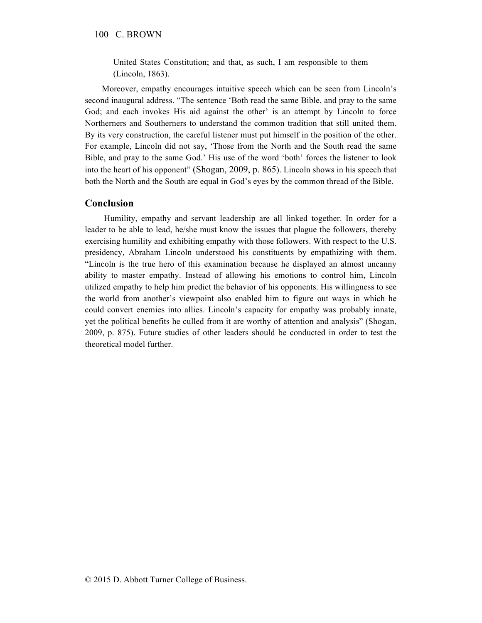#### 100 C. BROWN

United States Constitution; and that, as such, I am responsible to them (Lincoln, 1863).

Moreover, empathy encourages intuitive speech which can be seen from Lincoln's second inaugural address. "The sentence 'Both read the same Bible, and pray to the same God; and each invokes His aid against the other' is an attempt by Lincoln to force Northerners and Southerners to understand the common tradition that still united them. By its very construction, the careful listener must put himself in the position of the other. For example, Lincoln did not say, 'Those from the North and the South read the same Bible, and pray to the same God.' His use of the word 'both' forces the listener to look into the heart of his opponent" (Shogan, 2009, p. 865). Lincoln shows in his speech that both the North and the South are equal in God's eyes by the common thread of the Bible.

## **Conclusion**

Humility, empathy and servant leadership are all linked together. In order for a leader to be able to lead, he/she must know the issues that plague the followers, thereby exercising humility and exhibiting empathy with those followers. With respect to the U.S. presidency, Abraham Lincoln understood his constituents by empathizing with them. "Lincoln is the true hero of this examination because he displayed an almost uncanny ability to master empathy. Instead of allowing his emotions to control him, Lincoln utilized empathy to help him predict the behavior of his opponents. His willingness to see the world from another's viewpoint also enabled him to figure out ways in which he could convert enemies into allies. Lincoln's capacity for empathy was probably innate, yet the political benefits he culled from it are worthy of attention and analysis" (Shogan, 2009, p. 875). Future studies of other leaders should be conducted in order to test the theoretical model further.